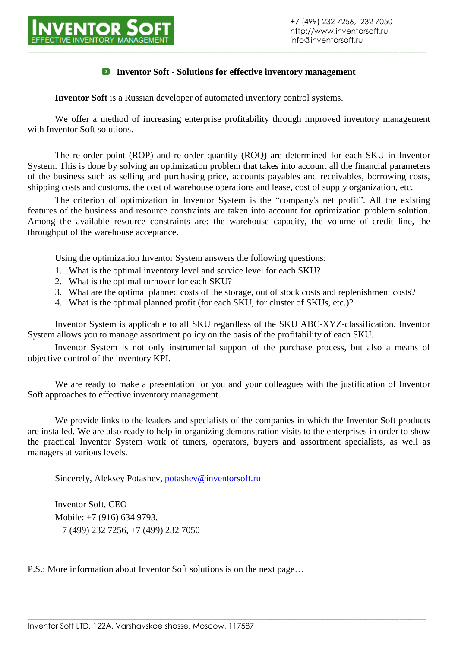

#### **Inventor Soft - Solutions for effective inventory management**

**Inventor Soft** is a Russian developer of automated inventory control systems.

We offer a method of increasing enterprise profitability through improved inventory management with Inventor Soft solutions.

The re-order point (ROP) and re-order quantity (ROQ) are determined for each SKU in Inventor System. This is done by solving an optimization problem that takes into account all the financial parameters of the business such as selling and purchasing price, accounts payables and receivables, borrowing costs, shipping costs and customs, the cost of warehouse operations and lease, cost of supply organization, etc.

The criterion of optimization in Inventor System is the "company's net profit". All the existing features of the business and resource constraints are taken into account for optimization problem solution. Among the available resource constraints are: the warehouse capacity, the volume of credit line, the throughput of the warehouse acceptance.

Using the optimization Inventor System answers the following questions:

- 1. What is the optimal inventory level and service level for each SKU?
- 2. What is the optimal turnover for each SKU?
- 3. What are the optimal planned costs of the storage, out of stock costs and replenishment costs?
- 4. What is the optimal planned profit (for each SKU, for cluster of SKUs, etc.)?

Inventor System is applicable to all SKU regardless of the SKU ABC-XYZ-classification. Inventor System allows you to manage assortment policy on the basis of the profitability of each SKU.

Inventor System is not only instrumental support of the purchase process, but also a means of objective control of the inventory KPI.

We are ready to make a presentation for you and your colleagues with the justification of Inventor Soft approaches to effective inventory management.

We provide links to the leaders and specialists of the companies in which the Inventor Soft products are installed. We are also ready to help in organizing demonstration visits to the enterprises in order to show the practical Inventor System work of tuners, operators, buyers and assortment specialists, as well as managers at various levels.

**\_\_\_\_\_\_\_\_\_\_\_\_\_\_\_\_\_\_\_\_\_\_\_\_\_\_\_\_\_\_\_\_\_\_\_\_\_\_\_\_\_\_\_\_\_\_\_\_\_\_\_\_\_\_\_\_\_\_\_\_\_\_\_\_\_\_\_\_\_\_\_\_\_\_\_\_\_\_\_\_\_\_\_\_\_\_\_\_\_\_\_\_\_**

Sincerely, Aleksey Potashev, [potashev@inventorsoft.ru](mailto:potashev@inventorsoft.ru)

Inventor Soft, CEO Mobile: +7 (916) 634 9793, +7 (499) 232 7256, +7 (499) 232 7050

P.S.: More information about Inventor Soft solutions is on the next page…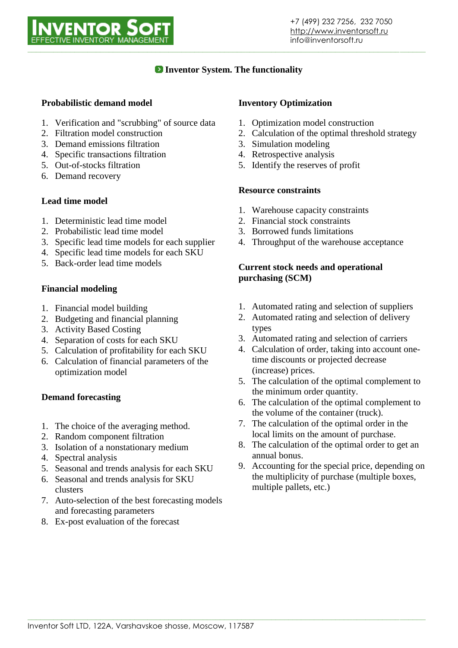

# **Inventor System. The functionality**

### **Probabilistic demand model**

- 1. Verification and "scrubbing" of source data
- 2. Filtration model construction
- 3. Demand emissions filtration
- 4. Specific transactions filtration
- 5. Out-of-stocks filtration
- 6. Demand recovery

### **Lead time model**

- 1. Deterministic lead time model
- 2. Probabilistic lead time model
- 3. Specific lead time models for each supplier
- 4. Specific lead time models for each SKU
- 5. Back-order lead time models

### **Financial modeling**

- 1. Financial model building
- 2. Budgeting and financial planning
- 3. Activity Based Costing
- 4. Separation of costs for each SKU
- 5. Calculation of profitability for each SKU
- 6. Calculation of financial parameters of the optimization model

### **Demand forecasting**

- 1. The choice of the averaging method.
- 2. Random component filtration
- 3. Isolation of a nonstationary medium
- 4. Spectral analysis
- 5. Seasonal and trends analysis for each SKU
- 6. Seasonal and trends analysis for SKU clusters
- 7. Auto-selection of the best forecasting models and forecasting parameters
- 8. Ex-post evaluation of the forecast

#### **Inventory Optimization**

- 1. Optimization model construction
- 2. Calculation of the optimal threshold strategy
- 3. Simulation modeling
- 4. Retrospective analysis
- 5. Identify the reserves of profit

#### **Resource constraints**

- 1. Warehouse capacity constraints
- 2. Financial stock constraints
- 3. Borrowed funds limitations
- 4. Throughput of the warehouse acceptance

#### **Current stock needs and operational purchasing (SCM)**

- 1. Automated rating and selection of suppliers
- 2. Automated rating and selection of delivery types
- 3. Automated rating and selection of carriers
- 4. Calculation of order, taking into account onetime discounts or projected decrease (increase) prices.
- 5. The calculation of the optimal complement to the minimum order quantity.
- 6. The calculation of the optimal complement to the volume of the container (truck).
- 7. The calculation of the optimal order in the local limits on the amount of purchase.
- 8. The calculation of the optimal order to get an annual bonus.
- 9. Accounting for the special price, depending on the multiplicity of purchase (multiple boxes, multiple pallets, etc.)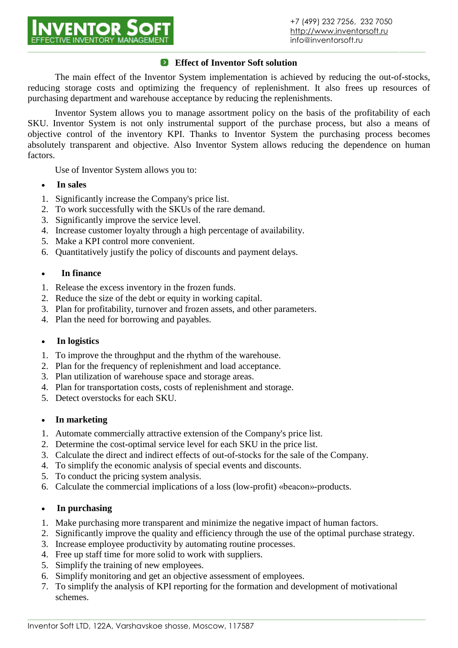

### **Effect of Inventor Soft solution**

The main effect of the Inventor System implementation is achieved by reducing the out-of-stocks, reducing storage costs and optimizing the frequency of replenishment. It also frees up resources of purchasing department and warehouse acceptance by reducing the replenishments.

Inventor System allows you to manage assortment policy on the basis of the profitability of each SKU. Inventor System is not only instrumental support of the purchase process, but also a means of objective control of the inventory KPI. Thanks to Inventor System the purchasing process becomes absolutely transparent and objective. Also Inventor System allows reducing the dependence on human factors.

Use of Inventor System allows you to:

- **In sales**
- 1. Significantly increase the Company's price list.
- 2. To work successfully with the SKUs of the rare demand.
- 3. Significantly improve the service level.
- 4. Increase customer loyalty through a high percentage of availability.
- 5. Make a KPI control more convenient.
- 6. Quantitatively justify the policy of discounts and payment delays.

#### **In finance**

- 1. Release the excess inventory in the frozen funds.
- 2. Reduce the size of the debt or equity in working capital.
- 3. Plan for profitability, turnover and frozen assets, and other parameters.
- 4. Plan the need for borrowing and payables.

### **In logistics**

- 1. To improve the throughput and the rhythm of the warehouse.
- 2. Plan for the frequency of replenishment and load acceptance.
- 3. Plan utilization of warehouse space and storage areas.
- 4. Plan for transportation costs, costs of replenishment and storage.
- 5. Detect overstocks for each SKU.

### **In marketing**

- 1. Automate commercially attractive extension of the Company's price list.
- 2. Determine the cost-optimal service level for each SKU in the price list.
- 3. Calculate the direct and indirect effects of out-of-stocks for the sale of the Company.
- 4. To simplify the economic analysis of special events and discounts.
- 5. To conduct the pricing system analysis.
- 6. Calculate the commercial implications of a loss (low-profit) «beacon»-products.

### **In purchasing**

- 1. Make purchasing more transparent and minimize the negative impact of human factors.
- 2. Significantly improve the quality and efficiency through the use of the optimal purchase strategy.
- 3. Increase employee productivity by automating routine processes.
- 4. Free up staff time for more solid to work with suppliers.
- 5. Simplify the training of new employees.
- 6. Simplify monitoring and get an objective assessment of employees.
- 7. To simplify the analysis of KPI reporting for the formation and development of motivational schemes.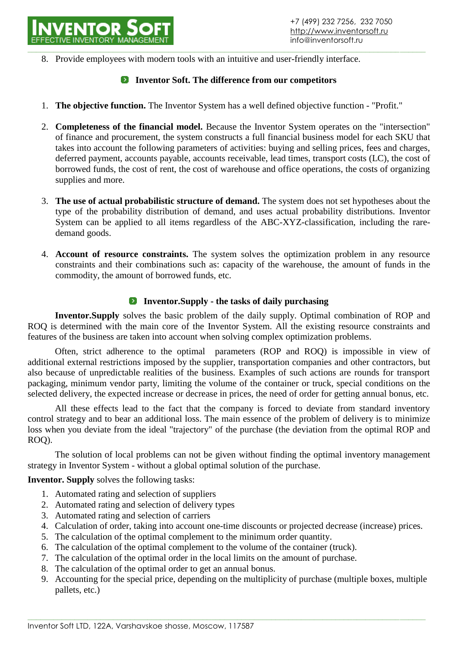**\_\_\_\_\_\_\_\_\_\_\_\_\_\_\_\_\_\_\_\_\_\_\_\_\_\_\_\_\_\_\_\_\_\_\_\_\_\_\_\_\_\_\_\_\_\_\_\_\_\_\_\_\_\_\_\_\_\_\_\_\_\_\_\_\_\_\_\_\_\_\_\_\_\_\_\_\_\_\_\_\_\_\_\_\_\_\_\_\_\_\_\_\_** 8. Provide employees with modern tools with an intuitive and user-friendly interface.

## **Inventor Soft. The difference from our competitors**

- 1. **The objective function.** The Inventor System has a well defined objective function "Profit."
- 2. **Completeness of the financial model.** Because the Inventor System operates on the "intersection" of finance and procurement, the system constructs a full financial business model for each SKU that takes into account the following parameters of activities: buying and selling prices, fees and charges, deferred payment, accounts payable, accounts receivable, lead times, transport costs (LC), the cost of borrowed funds, the cost of rent, the cost of warehouse and office operations, the costs of organizing supplies and more.
- 3. **The use of actual probabilistic structure of demand.** The system does not set hypotheses about the type of the probability distribution of demand, and uses actual probability distributions. Inventor System can be applied to all items regardless of the ABC-XYZ-classification, including the raredemand goods.
- 4. **Account of resource constraints.** The system solves the optimization problem in any resource constraints and their combinations such as: capacity of the warehouse, the amount of funds in the commodity, the amount of borrowed funds, etc.

# **Inventor.Supply - the tasks of daily purchasing**

**Inventor.Supply** solves the basic problem of the daily supply. Optimal combination of ROP and ROQ is determined with the main core of the Inventor System. All the existing resource constraints and features of the business are taken into account when solving complex optimization problems.

Often, strict adherence to the optimal parameters (ROP and ROQ) is impossible in view of additional external restrictions imposed by the supplier, transportation companies and other contractors, but also because of unpredictable realities of the business. Examples of such actions are rounds for transport packaging, minimum vendor party, limiting the volume of the container or truck, special conditions on the selected delivery, the expected increase or decrease in prices, the need of order for getting annual bonus, etc.

All these effects lead to the fact that the company is forced to deviate from standard inventory control strategy and to bear an additional loss. The main essence of the problem of delivery is to minimize loss when you deviate from the ideal "trajectory" of the purchase (the deviation from the optimal ROP and ROQ).

The solution of local problems can not be given without finding the optimal inventory management strategy in Inventor System - without a global optimal solution of the purchase.

**Inventor. Supply** solves the following tasks:

- 1. Automated rating and selection of suppliers
- 2. Automated rating and selection of delivery types
- 3. Automated rating and selection of carriers
- 4. Calculation of order, taking into account one-time discounts or projected decrease (increase) prices.
- 5. The calculation of the optimal complement to the minimum order quantity.
- 6. The calculation of the optimal complement to the volume of the container (truck).
- 7. The calculation of the optimal order in the local limits on the amount of purchase.
- 8. The calculation of the optimal order to get an annual bonus.
- 9. Accounting for the special price, depending on the multiplicity of purchase (multiple boxes, multiple pallets, etc.)